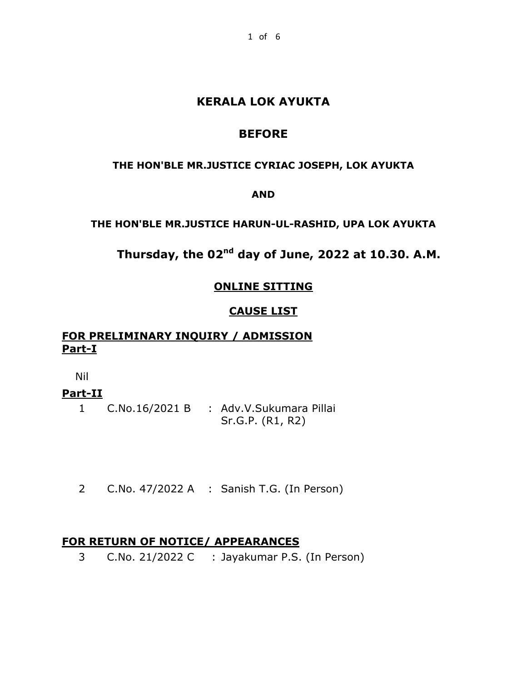## **KERALA LOK AYUKTA**

## **BEFORE**

### **THE HON'BLE MR.JUSTICE CYRIAC JOSEPH, LOK AYUKTA**

## **AND**

## **THE HON'BLE MR.JUSTICE HARUN-UL-RASHID, UPA LOK AYUKTA**

# **Thursday, the 02nd day of June, 2022 at 10.30. A.M.**

## **ONLINE SITTING**

## **CAUSE LIST**

## **FOR PRELIMINARY INQUIRY / ADMISSION Part-I**

Nil

## **Part-II**

1 C.No.16/2021 B : Adv.V.Sukumara Pillai Sr.G.P. (R1, R2)

2 C.No. 47/2022 A : Sanish T.G. (In Person)

## **FOR RETURN OF NOTICE/ APPEARANCES**

3 C.No. 21/2022 C : Jayakumar P.S. (In Person)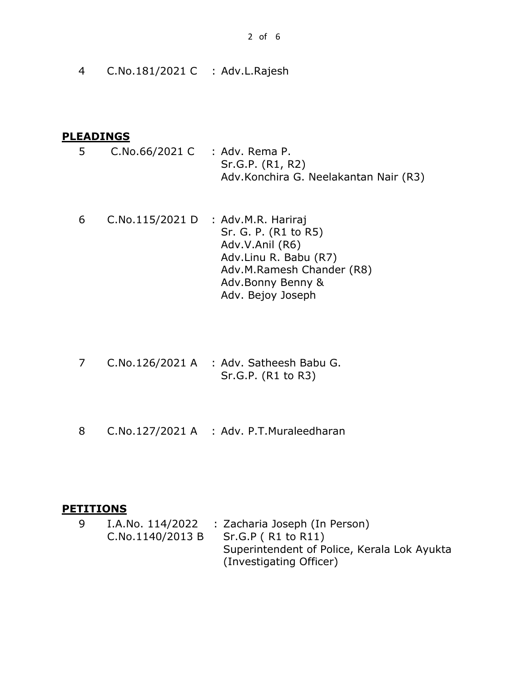4 C.No.181/2021 C : Adv.L.Rajesh

#### **PLEADINGS**

- 5 C.No.66/2021 C : Adv. Rema P. Sr.G.P. (R1, R2) Adv.Konchira G. Neelakantan Nair (R3)
- 6 C.No.115/2021 D : Adv.M.R. Hariraj Sr. G. P. (R1 to R5) Adv.V.Anil (R6) Adv.Linu R. Babu (R7) Adv.M.Ramesh Chander (R8) Adv.Bonny Benny & Adv. Bejoy Joseph
- 7 C.No.126/2021 A : Adv. Satheesh Babu G. Sr.G.P. (R1 to R3)
- 8 C.No.127/2021 A : Adv. P.T.Muraleedharan

#### **PETITIONS**

9 I.A.No. 114/2022 : Zacharia Joseph (In Person) C.No.1140/2013 B Sr.G.P ( R1 to R11) Superintendent of Police, Kerala Lok Ayukta (Investigating Officer)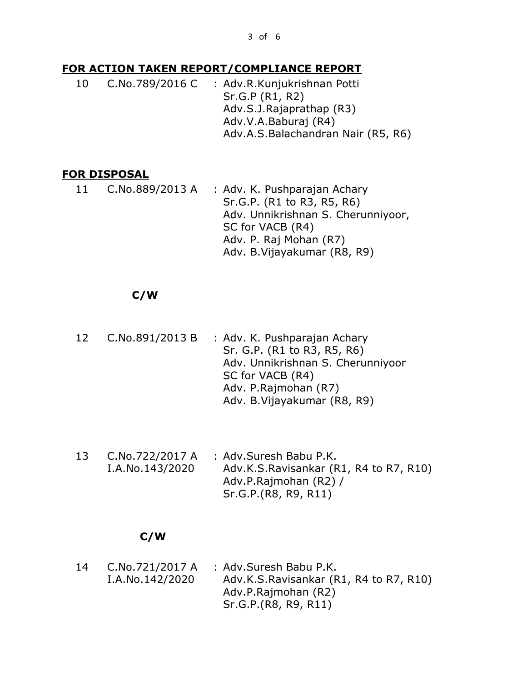#### **FOR ACTION TAKEN REPORT/COMPLIANCE REPORT**

10 C.No.789/2016 C : Adv.R.Kunjukrishnan Potti Sr.G.P (R1, R2) Adv.S.J.Rajaprathap (R3) Adv.V.A.Baburaj (R4) Adv.A.S.Balachandran Nair (R5, R6)

## **FOR DISPOSAL**

11 C.No.889/2013 A : Adv. K. Pushparajan Achary Sr.G.P. (R1 to R3, R5, R6) Adv. Unnikrishnan S. Cherunniyoor, SC for VACB (R4) Adv. P. Raj Mohan (R7) Adv. B.Vijayakumar (R8, R9)

## **C/W**

- 12 C.No.891/2013 B : Adv. K. Pushparajan Achary Sr. G.P. (R1 to R3, R5, R6) Adv. Unnikrishnan S. Cherunniyoor SC for VACB (R4) Adv. P.Rajmohan (R7) Adv. B.Vijayakumar (R8, R9)
- 13 C.No.722/2017 A I.A.No.143/2020 : Adv.Suresh Babu P.K. Adv.K.S.Ravisankar (R1, R4 to R7, R10) Adv.P.Rajmohan (R2) / Sr.G.P.(R8, R9, R11)

#### **C/W**

14 C.No.721/2017 A I.A.No.142/2020 : Adv.Suresh Babu P.K. Adv.K.S.Ravisankar (R1, R4 to R7, R10) Adv.P.Rajmohan (R2) Sr.G.P.(R8, R9, R11)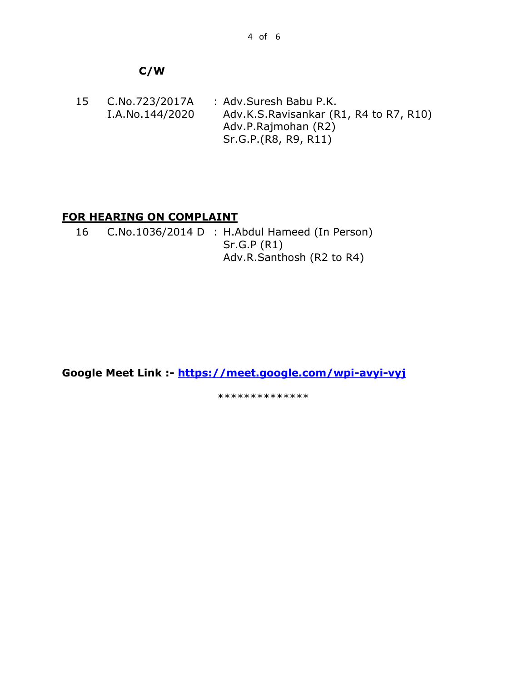## **C/W**

15 C.No.723/2017A I.A.No.144/2020 : Adv.Suresh Babu P.K. Adv.K.S.Ravisankar (R1, R4 to R7, R10) Adv.P.Rajmohan (R2) Sr.G.P.(R8, R9, R11)

## **FOR HEARING ON COMPLAINT**

16 C.No.1036/2014 D : H.Abdul Hameed (In Person) Sr.G.P (R1) Adv.R.Santhosh (R2 to R4)

**Google Meet Link :- <https://meet.google.com/wpi-avyi-vyj>**

\*\*\*\*\*\*\*\*\*\*\*\*\*\*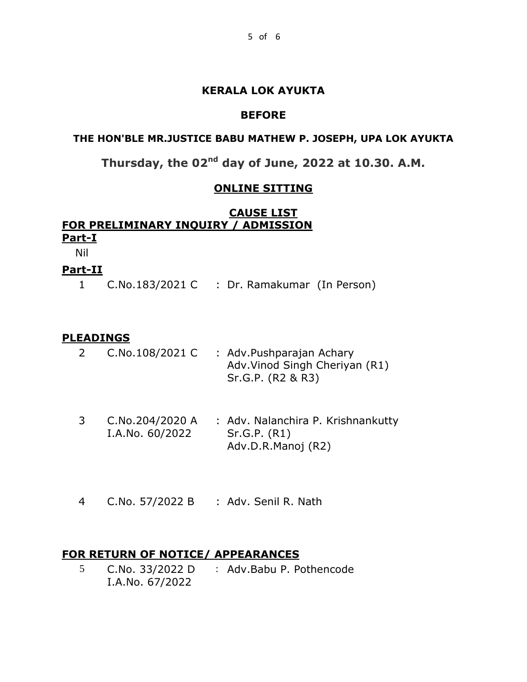### **KERALA LOK AYUKTA**

## **BEFORE**

### **THE HON'BLE MR.JUSTICE BABU MATHEW P. JOSEPH, UPA LOK AYUKTA**

**Thursday, the 02nd day of June, 2022 at 10.30. A.M.**

### **ONLINE SITTING**

## **CAUSE LIST FOR PRELIMINARY INQUIRY / ADMISSION Part-I**

Nil

## **Part-II**

1 C.No.183/2021 C : Dr. Ramakumar (In Person)

#### **PLEADINGS**

|  | C.No.108/2021 C | : Adv.Pushparajan Achary       |
|--|-----------------|--------------------------------|
|  |                 | Adv. Vinod Singh Cheriyan (R1) |
|  |                 | Sr.G.P. (R2 & R3)              |

- 3 C.No.204/2020 A : Adv. Nalanchira P. Krishnankutty I.A.No. 60/2022 Sr.G.P. (R1) Adv.D.R.Manoj (R2)
- 4 C.No. 57/2022 B : Adv. Senil R. Nath

## **FOR RETURN OF NOTICE/ APPEARANCES**

5 C.No. 33/2022 D : Adv.Babu P. PothencodeI.A.No. 67/2022